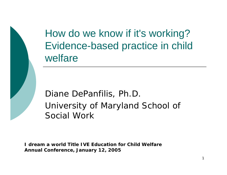How do we know if it's working? Evidence-based practice in child welfare

Diane DePanfilis, Ph.D. University of Maryland School of Social Work

*I dream a world* **Title IVE Education for Child Welfare Annual Conference, January 12, 2005**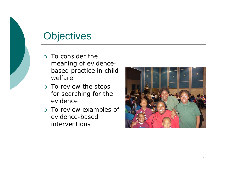## **Objectives**

- $\circ$  To consider the meaning of evidencebased practice in child welfare
- $\circ$  To review the steps for searching for the evidence
- o To review examples of evidence-based interventions

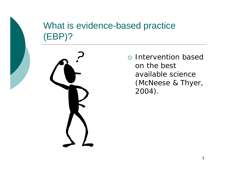# What is evidence-based practice (EBP)?



{ Intervention based on the best available science (McNeese & Thyer, 2004).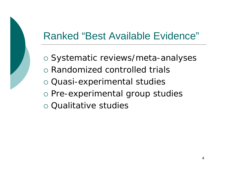### Ranked "Best Available Evidence"

- o Systematic reviews/meta-analyses
- o Randomized controlled trials
- o Quasi-experimental studies
- o Pre-experimental group studies
- o Qualitative studies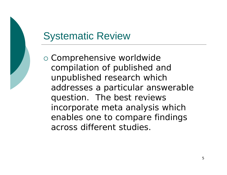

### Systematic Review

o Comprehensive worldwide compilation of published and unpublished research which addresses a particular answerable question. The best reviews incorporate meta analysis which enables one to compare findings across different studies.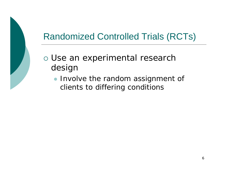

### Randomized Controlled Trials (RCTs)

- o Use an experimental research design
	- Involve the random assignment of clients to differing conditions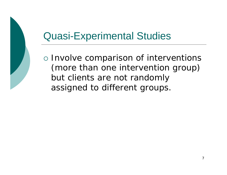

### Quasi-Experimental Studies

o Involve comparison of interventions (more than one intervention group) but clients are not randomly assigned to different groups.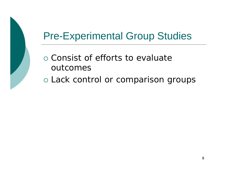

### Pre-Experimental Group Studies

- $\circ$  Consist of efforts to evaluate outcomes
- o Lack control or comparison groups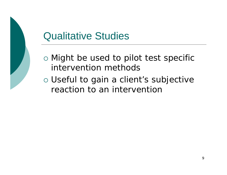

### Qualitative Studies

- $\circ$  Might be used to pilot test specific intervention methods
- { Useful to gain a client's subjective reaction to an intervention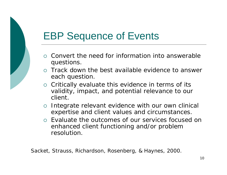### EBP Sequence of Events

- $\circ$  Convert the need for information into answerable questions.
- $\circ$  Track down the best available evidence to answer each question.
- $\circ$  Critically evaluate this evidence in terms of its validity, impact, and potential relevance to our client.
- $\circ$  Integrate relevant evidence with our own clinical expertise and client values and circumstances.
- $\circ$  Evaluate the outcomes of our services focused on enhanced client functioning and/or problem resolution.

Sacket, Strauss, Richardson, Rosenberg, & Haynes, 2000.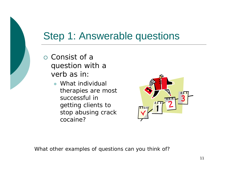

### Step 1: Answerable questions

- $\circ$  Consist of a question with a verb *as in*:
	- What individual therapies are most successful in getting clients to stop abusing crack cocaine?



*What other examples of questions can you think of?*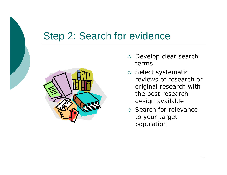### Step 2: Search for evidence



- ${\bigcirc}$  Develop clear search terms
- o Select systematic reviews of research or original research with the best research design available
- o Search for relevance to your target population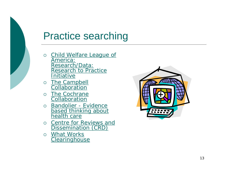

### Practice searching

- o child Welfare League of America: Research/Data: Research to Practice Initiative
- $\bigcirc$ **The Campbell** Collaboration
- $\circ$ The Cochrane Collaboration
- $\Omega$  Bandolier - Evidence based thinking about health care
- { Centre for Reviews and Dissemination (CRD)
- $\circ$ What Works **Clearinghouse**

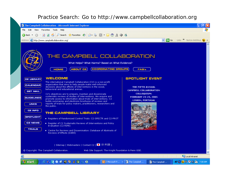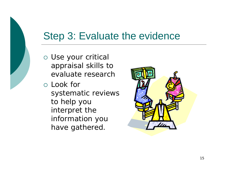

### Step 3: Evaluate the evidence

- { Use your critical appraisal skills to evaluate research
- { Look for systematic reviews to help you interpret the information you have gathered.

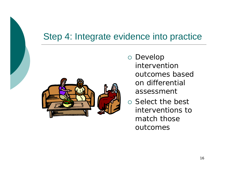

#### Step 4: Integrate evidence into practice



- $\circ$  Develop intervention outcomes based on differential assessment
- $\circ$  Select the best interventions to match those outcomes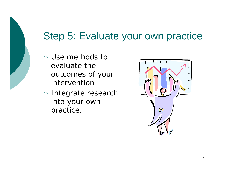

### Step 5: Evaluate your own practice

- $\circ$  Use methods to evaluate the outcomes of your intervention
- o Integrate research into your own practice.

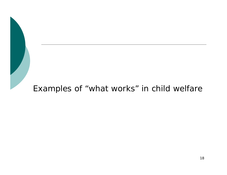#### Examples of "what works" in child welfare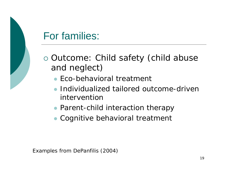## For families:

- o Outcome: Child safety (child abuse and neglect)
	- Eco-behavioral treatment
	- $\bullet$  Individualized tailored outcome-driven intervention
	- Parent-child interaction therapy
	- $\bullet$ Cognitive behavioral treatment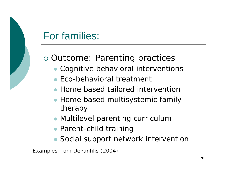## For families:

#### o Outcome: Parenting practices

- Cognitive behavioral interventions
- Eco-behavioral treatment
- Home based tailored intervention
- Home based multisystemic family therapy
- **Multilevel parenting curriculum**
- Parent-child training
- Social support network intervention

*Examples from DePanfilis (2004)*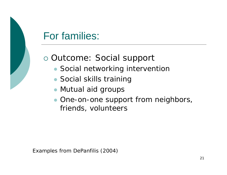## For families:

o Outcome: Social support

- Social networking intervention
- Social skills training
- Mutual aid groups
- $\bullet$  One-on-one support from neighbors, friends, volunteers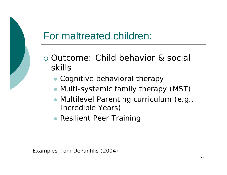### For maltreated children:

- { Outcome: Child behavior & social skills
	- Cognitive behavioral therapy
	- Multi-systemic family therapy (MST)
	- **Multilevel Parenting curriculum (e.g.,** Incredible Years)
	- **Resilient Peer Training**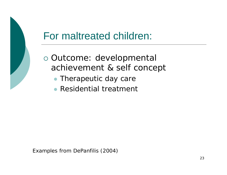

### For maltreated children:

o Outcome: developmental achievement & self concept

- Therapeutic day care
- Residential treatment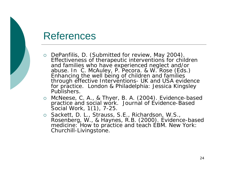### References

- o DePanfilis, D. (Submitted for review, May 2004). Effectiveness of therapeutic interventions for children and families who have experienced neglect and/or abuse. In C. McAuley, P. Pecora. & W. Rose (Eds.) *Enhancing the well being of children and families through effective Interventions- UK and USA evidence for practice.* London & Philadelphia: Jessica Kingsley Publishers.
- { McNeese, C. A., & Thyer, B. A. (2004). Evidence-based practice and social work. *Journal of Evidence-Based Social Work, 1*(1), 7-25.
- { Sackett, D. L., Strauss, S.E., Richardson, W.S., Rosenberg, W., & Haynes, R.B. (2000). *Evidence-based medicine: How to practice and teach EBM. New York: Churchill-Livingstone.*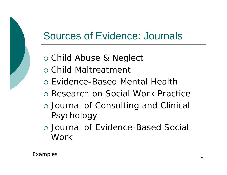### Sources of Evidence: Journals

- { *Child Abuse & Neglect*
- { *Child Maltreatment*
- { *Evidence-Based Mental Health*
- { *Research on Social Work Practice*
- { *Journal of Consulting and Clinical Psychology*
- { *Journal of Evidence-Based Social Work*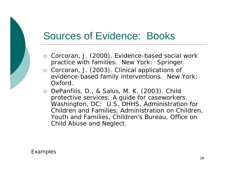### Sources of Evidence: Books

- { Corcoran, J. (2000). *Evidence-based social work practice with families.* New York: Springer.
- { Corcoran, J. (2003). *Clinical applications of evidence-based family interventions.* New York: Oxford.
- { DePanfilis, D., & Salus, M. K. (2003). *Child protective services: A guide for caseworkers.* Washington, DC: U.S. DHHS, Administration for Children and Families, Administration on Children, Youth and Families, Children's Bureau, Office on Child Abuse and Neglect.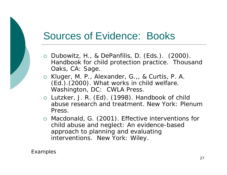### Sources of Evidence: Books

- { Dubowitz, H., & DePanfilis, D. (Eds.). (2000). *Handbook for child protection practice*. Thousand Oaks, CA: Sage.
- { Kluger, M. P., Alexander, G.,, & Curtis, P. A. (Ed.).(2000). *What works in child welfare.* Washington, DC: CWLA Press.
- { Lutzker, J. R. (Ed). (1998). *Handbook of child abuse research and treatment.* New York: Plenum Press.
- { Macdonald, G. (2001). *Effective interventions for child abuse and neglect: An evidence-based approach to planning and evaluating interventions.* New York: Wiley.

*Examples*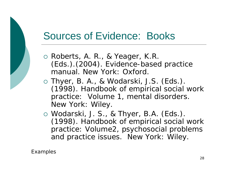#### Sources of Evidence: Books

- o Roberts, A. R., & Yeager, K.R. (Eds.).(2004). *Evidence-based practice manual.* New York: Oxford.
- o Thyer, B. A., & Wodarski, J.S. (Eds.). (1998). *Handbook of empirical social work practice: Volume 1, mental disorders.* New York: Wiley.
- o Wodarski, J. S., & Thyer, B.A. (Eds.). (1998). *Handbook of empirical social work practice: Volume2, psychosocial problems and practice issues*. New York: Wiley.

*Examples*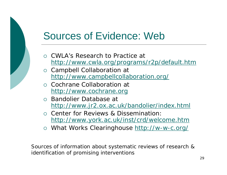### Sources of Evidence: Web

- o CWLA's Research to Practice at http://www.cwla.org/programs/r2p/default.htm
- $\circ$  Campbell Collaboration at http://www.campbellcollaboration.org/
- o Cochrane Collaboration at http://www.cochrane.org
- o Bandolier Database at http://www.jr2.ox.ac.uk/bandolier/index.html
- { Center for Reviews & Dissemination: http://www.york.ac.uk/inst/crd/welcome.htm
- o What Works Clearinghouse http://w-w-c.org/

Sources of information about systematic reviews of research & identification of promising interventions